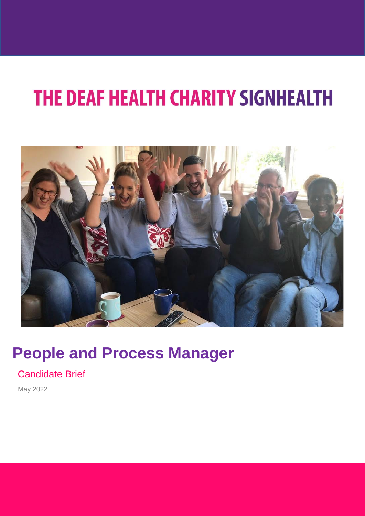

## **People and Process Manager**

Candidate Brief

May 2022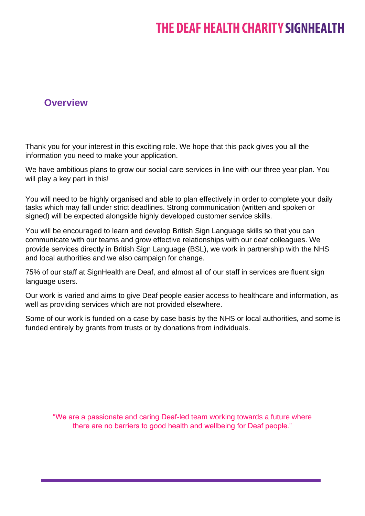### **Overview**

Thank you for your interest in this exciting role. We hope that this pack gives you all the information you need to make your application.

We have ambitious plans to grow our social care services in line with our three year plan. You will play a key part in this!

You will need to be highly organised and able to plan effectively in order to complete your daily tasks which may fall under strict deadlines. Strong communication (written and spoken or signed) will be expected alongside highly developed customer service skills.

You will be encouraged to learn and develop British Sign Language skills so that you can communicate with our teams and grow effective relationships with our deaf colleagues. We provide services directly in British Sign Language (BSL), we work in partnership with the NHS and local authorities and we also campaign for change.

75% of our staff at SignHealth are Deaf, and almost all of our staff in services are fluent sign language users.

Our work is varied and aims to give Deaf people easier access to healthcare and information, as well as providing services which are not provided elsewhere.

Some of our work is funded on a case by case basis by the NHS or local authorities, and some is funded entirely by grants from trusts or by donations from individuals.

"We are a passionate and caring Deaf-led team working towards a future where there are no barriers to good health and wellbeing for Deaf people."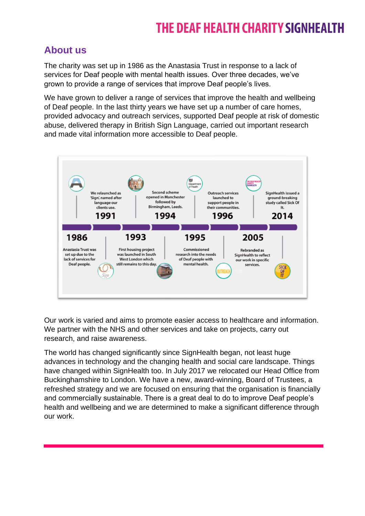### **About us**

The charity was set up in 1986 as the Anastasia Trust in response to a lack of services for Deaf people with mental health issues. Over three decades, we've grown to provide a range of services that improve Deaf people's lives.

We have grown to deliver a range of services that improve the health and wellbeing of Deaf people. In the last thirty years we have set up a number of care homes, provided advocacy and outreach services, supported Deaf people at risk of domestic abuse, delivered therapy in British Sign Language, carried out important research and made vital information more accessible to Deaf people.



Our work is varied and aims to promote easier access to healthcare and information. We partner with the NHS and other services and take on projects, carry out research, and raise awareness.

The world has changed significantly since SignHealth began, not least huge advances in technology and the changing health and social care landscape. Things have changed within SignHealth too. In July 2017 we relocated our Head Office from Buckinghamshire to London. We have a new, award-winning, Board of Trustees, a refreshed strategy and we are focused on ensuring that the organisation is financially and commercially sustainable. There is a great deal to do to improve Deaf people's health and wellbeing and we are determined to make a significant difference through our work.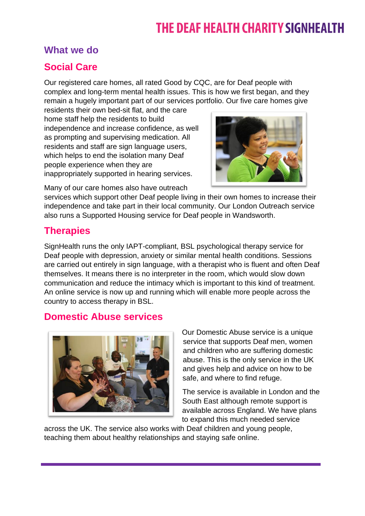### **What we do**

### **Social Care**

Our registered care homes, all rated Good by CQC, are for Deaf people with complex and long-term mental health issues. This is how we first began, and they remain a hugely important part of our services portfolio. Our five care homes give

residents their own bed-sit flat, and the care home staff help the residents to build independence and increase confidence, as well as prompting and supervising medication. All residents and staff are sign language users, which helps to end the isolation many Deaf people experience when they are inappropriately supported in hearing services.



Many of our care homes also have outreach

services which support other Deaf people living in their own homes to increase their independence and take part in their local community. Our London Outreach service also runs a Supported Housing service for Deaf people in Wandsworth.

### **Therapies**

SignHealth runs the only IAPT-compliant, BSL psychological therapy service for Deaf people with depression, anxiety or similar mental health conditions. Sessions are carried out entirely in sign language, with a therapist who is fluent and often Deaf themselves. It means there is no interpreter in the room, which would slow down communication and reduce the intimacy which is important to this kind of treatment. An online service is now up and running which will enable more people across the country to access therapy in BSL.

### **Domestic Abuse services**



Our Domestic Abuse service is a unique service that supports Deaf men, women and children who are suffering domestic abuse. This is the only service in the UK and gives help and advice on how to be safe, and where to find refuge.

The service is available in London and the South East although remote support is available across England. We have plans to expand this much needed service

across the UK. The service also works with Deaf children and young people, teaching them about healthy relationships and staying safe online.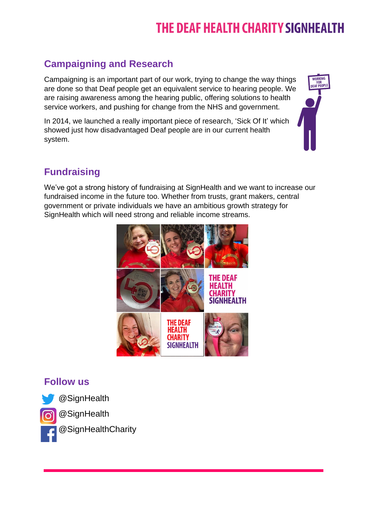## **Campaigning and Research**

Campaigning is an important part of our work, trying to change the way things are done so that Deaf people get an equivalent service to hearing people. We are raising awareness among the hearing public, offering solutions to health service workers, and pushing for change from the NHS and government.

In 2014, we launched a really important piece of research, 'Sick Of It' which showed just how disadvantaged Deaf people are in our current health system.



### **Fundraising**

We've got a strong history of fundraising at SignHealth and we want to increase our fundraised income in the future too. Whether from trusts, grant makers, central government or private individuals we have an ambitious growth strategy for SignHealth which will need strong and reliable income streams.



### **Follow us**



@SignHealth

@SignHealth

@SignHealthCharity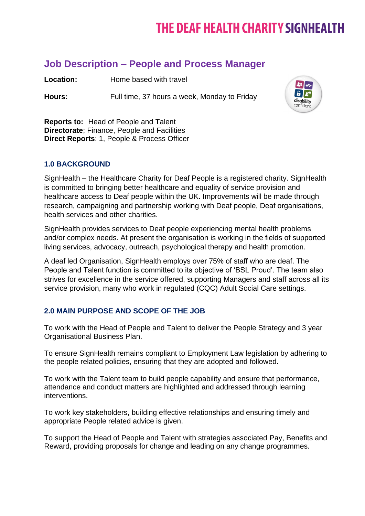### **Job Description – People and Process Manager**

**Location:** Home based with travel

Hours: Full time, 37 hours a week, Monday to Friday



**Reports to:** Head of People and Talent **Directorate**; Finance, People and Facilities **Direct Reports**: 1, People & Process Officer

#### **1.0 BACKGROUND**

SignHealth – the Healthcare Charity for Deaf People is a registered charity. SignHealth is committed to bringing better healthcare and equality of service provision and healthcare access to Deaf people within the UK. Improvements will be made through research, campaigning and partnership working with Deaf people, Deaf organisations, health services and other charities.

SignHealth provides services to Deaf people experiencing mental health problems and/or complex needs. At present the organisation is working in the fields of supported living services, advocacy, outreach, psychological therapy and health promotion.

A deaf led Organisation, SignHealth employs over 75% of staff who are deaf. The People and Talent function is committed to its objective of 'BSL Proud'. The team also strives for excellence in the service offered, supporting Managers and staff across all its service provision, many who work in regulated (CQC) Adult Social Care settings.

#### **2.0 MAIN PURPOSE AND SCOPE OF THE JOB**

To work with the Head of People and Talent to deliver the People Strategy and 3 year Organisational Business Plan.

To ensure SignHealth remains compliant to Employment Law legislation by adhering to the people related policies, ensuring that they are adopted and followed.

To work with the Talent team to build people capability and ensure that performance, attendance and conduct matters are highlighted and addressed through learning interventions.

To work key stakeholders, building effective relationships and ensuring timely and appropriate People related advice is given.

To support the Head of People and Talent with strategies associated Pay, Benefits and Reward, providing proposals for change and leading on any change programmes.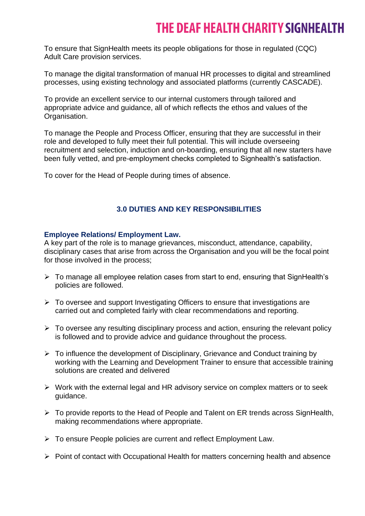To ensure that SignHealth meets its people obligations for those in regulated (CQC) Adult Care provision services.

To manage the digital transformation of manual HR processes to digital and streamlined processes, using existing technology and associated platforms (currently CASCADE).

To provide an excellent service to our internal customers through tailored and appropriate advice and guidance, all of which reflects the ethos and values of the Organisation.

To manage the People and Process Officer, ensuring that they are successful in their role and developed to fully meet their full potential. This will include overseeing recruitment and selection, induction and on-boarding, ensuring that all new starters have been fully vetted, and pre-employment checks completed to Signhealth's satisfaction.

To cover for the Head of People during times of absence.

#### **3.0 DUTIES AND KEY RESPONSIBILITIES**

#### **Employee Relations/ Employment Law.**

A key part of the role is to manage grievances, misconduct, attendance, capability, disciplinary cases that arise from across the Organisation and you will be the focal point for those involved in the process;

- ➢ To manage all employee relation cases from start to end, ensuring that SignHealth's policies are followed.
- ➢ To oversee and support Investigating Officers to ensure that investigations are carried out and completed fairly with clear recommendations and reporting.
- $\triangleright$  To oversee any resulting disciplinary process and action, ensuring the relevant policy is followed and to provide advice and guidance throughout the process.
- ➢ To influence the development of Disciplinary, Grievance and Conduct training by working with the Learning and Development Trainer to ensure that accessible training solutions are created and delivered
- ➢ Work with the external legal and HR advisory service on complex matters or to seek guidance.
- ➢ To provide reports to the Head of People and Talent on ER trends across SignHealth, making recommendations where appropriate.
- ➢ To ensure People policies are current and reflect Employment Law.
- ➢ Point of contact with Occupational Health for matters concerning health and absence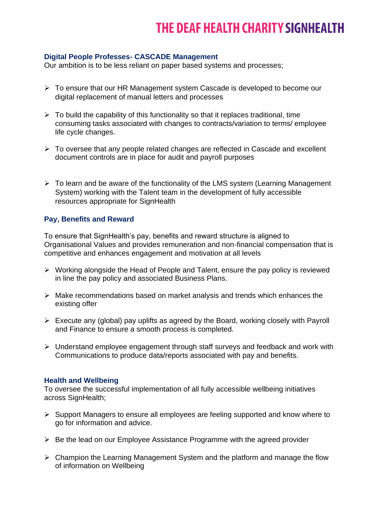#### **Digital People Professes- CASCADE Management**

Our ambition is to be less reliant on paper based systems and processes;

- ➢ To ensure that our HR Management system Cascade is developed to become our digital replacement of manual letters and processes
- $\triangleright$  To build the capability of this functionality so that it replaces traditional, time consuming tasks associated with changes to contracts/variation to terms/ employee life cycle changes.
- ➢ To oversee that any people related changes are reflected in Cascade and excellent document controls are in place for audit and payroll purposes
- ➢ To learn and be aware of the functionality of the LMS system (Learning Management System) working with the Talent team in the development of fully accessible resources appropriate for SignHealth

#### **Pay, Benefits and Reward**

To ensure that SignHealth's pay, benefits and reward structure is aligned to Organisational Values and provides remuneration and non-financial compensation that is competitive and enhances engagement and motivation at all levels

- ➢ Working alongside the Head of People and Talent, ensure the pay policy is reviewed in line the pay policy and associated Business Plans.
- ➢ Make recommendations based on market analysis and trends which enhances the existing offer
- ➢ Execute any (global) pay uplifts as agreed by the Board, working closely with Payroll and Finance to ensure a smooth process is completed.
- ➢ Understand employee engagement through staff surveys and feedback and work with Communications to produce data/reports associated with pay and benefits.

#### **Health and Wellbeing**

To oversee the successful implementation of all fully accessible wellbeing initiatives across SignHealth;

- ➢ Support Managers to ensure all employees are feeling supported and know where to go for information and advice.
- ➢ Be the lead on our Employee Assistance Programme with the agreed provider
- ➢ Champion the Learning Management System and the platform and manage the flow of information on Wellbeing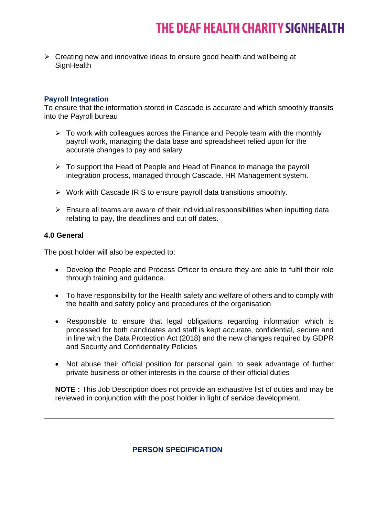➢ Creating new and innovative ideas to ensure good health and wellbeing at **SignHealth** 

#### **Payroll Integration**

To ensure that the information stored in Cascade is accurate and which smoothly transits into the Payroll bureau

- $\triangleright$  To work with colleagues across the Finance and People team with the monthly payroll work, managing the data base and spreadsheet relied upon for the accurate changes to pay and salary
- ➢ To support the Head of People and Head of Finance to manage the payroll integration process, managed through Cascade, HR Management system.
- ➢ Work with Cascade IRIS to ensure payroll data transitions smoothly.
- $\triangleright$  Ensure all teams are aware of their individual responsibilities when inputting data relating to pay, the deadlines and cut off dates.

#### **4.0 General**

The post holder will also be expected to:

- Develop the People and Process Officer to ensure they are able to fulfil their role through training and guidance.
- To have responsibility for the Health safety and welfare of others and to comply with the health and safety policy and procedures of the organisation
- Responsible to ensure that legal obligations regarding information which is processed for both candidates and staff is kept accurate, confidential, secure and in line with the Data Protection Act (2018) and the new changes required by GDPR and Security and Confidentiality Policies
- Not abuse their official position for personal gain, to seek advantage of further private business or other interests in the course of their official duties

**NOTE :** This Job Description does not provide an exhaustive list of duties and may be reviewed in conjunction with the post holder in light of service development.

#### **PERSON SPECIFICATION**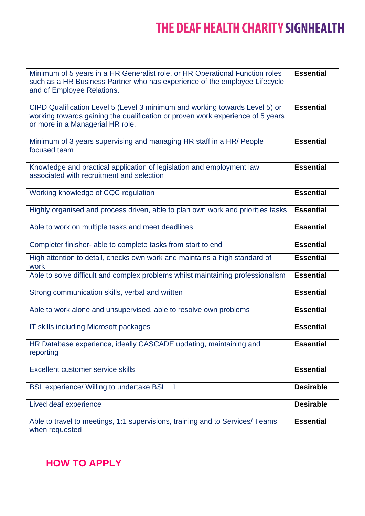| Minimum of 5 years in a HR Generalist role, or HR Operational Function roles<br>such as a HR Business Partner who has experience of the employee Lifecycle<br>and of Employee Relations.          | <b>Essential</b> |
|---------------------------------------------------------------------------------------------------------------------------------------------------------------------------------------------------|------------------|
| CIPD Qualification Level 5 (Level 3 minimum and working towards Level 5) or<br>working towards gaining the qualification or proven work experience of 5 years<br>or more in a Managerial HR role. | <b>Essential</b> |
| Minimum of 3 years supervising and managing HR staff in a HR/ People<br>focused team                                                                                                              | <b>Essential</b> |
| Knowledge and practical application of legislation and employment law<br>associated with recruitment and selection                                                                                | <b>Essential</b> |
| Working knowledge of CQC regulation                                                                                                                                                               | <b>Essential</b> |
| Highly organised and process driven, able to plan own work and priorities tasks                                                                                                                   | <b>Essential</b> |
| Able to work on multiple tasks and meet deadlines                                                                                                                                                 | <b>Essential</b> |
| Completer finisher- able to complete tasks from start to end                                                                                                                                      | <b>Essential</b> |
| High attention to detail, checks own work and maintains a high standard of<br>work                                                                                                                | <b>Essential</b> |
| Able to solve difficult and complex problems whilst maintaining professionalism                                                                                                                   | <b>Essential</b> |
| Strong communication skills, verbal and written                                                                                                                                                   | <b>Essential</b> |
| Able to work alone and unsupervised, able to resolve own problems                                                                                                                                 | <b>Essential</b> |
| IT skills including Microsoft packages                                                                                                                                                            | <b>Essential</b> |
| HR Database experience, ideally CASCADE updating, maintaining and<br>reporting                                                                                                                    | <b>Essential</b> |
| Excellent customer service skills                                                                                                                                                                 | <b>Essential</b> |
| <b>BSL experience/ Willing to undertake BSL L1</b>                                                                                                                                                | <b>Desirable</b> |
| Lived deaf experience                                                                                                                                                                             | <b>Desirable</b> |
| Able to travel to meetings, 1:1 supervisions, training and to Services/ Teams<br>when requested                                                                                                   | <b>Essential</b> |

**HOW TO APPLY**